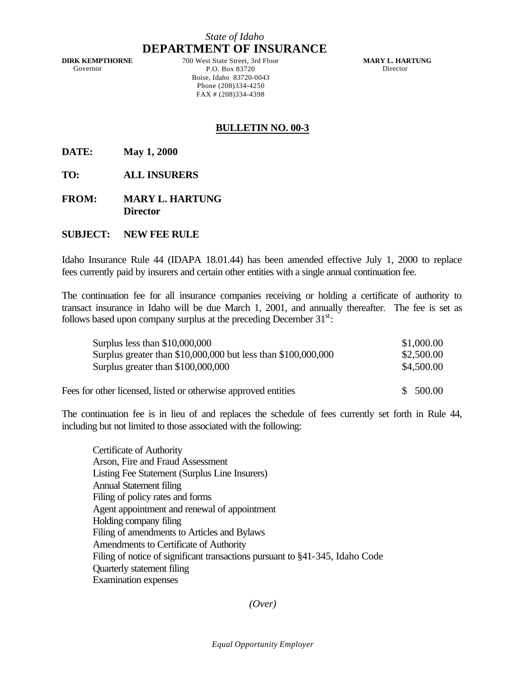## *State of Idaho* **DEPARTMENT OF INSURANCE**

**DIRK KEMPTHORNE** Governor

700 West State Street, 3rd Floor P.O. Box 83720 Boise, Idaho 83720-0043 Phone (208)334-4250 FAX # (208)334-4398

**MARY L. HARTUNG** Director

## **BULLETIN NO. 00-3**

**DATE: May 1, 2000**

**TO: ALL INSURERS**

**FROM: MARY L. HARTUNG Director**

## **SUBJECT: NEW FEE RULE**

Idaho Insurance Rule 44 (IDAPA 18.01.44) has been amended effective July 1, 2000 to replace fees currently paid by insurers and certain other entities with a single annual continuation fee.

The continuation fee for all insurance companies receiving or holding a certificate of authority to transact insurance in Idaho will be due March 1, 2001, and annually thereafter. The fee is set as follows based upon company surplus at the preceding December  $31<sup>st</sup>$ :

| Surplus less than $$10,000,000$                                | \$1,000.00             |
|----------------------------------------------------------------|------------------------|
| Surplus greater than \$10,000,000 but less than \$100,000,000  | \$2,500.00             |
| Surplus greater than \$100,000,000                             | \$4,500.00             |
| Fees for other licensed, listed or otherwise approved entities | 500.00<br><sup>S</sup> |

The continuation fee is in lieu of and replaces the schedule of fees currently set forth in Rule 44, including but not limited to those associated with the following:

Certificate of Authority Arson, Fire and Fraud Assessment Listing Fee Statement (Surplus Line Insurers) Annual Statement filing Filing of policy rates and forms Agent appointment and renewal of appointment Holding company filing Filing of amendments to Articles and Bylaws Amendments to Certificate of Authority Filing of notice of significant transactions pursuant to §41-345, Idaho Code Quarterly statement filing Examination expenses

## *(Over)*